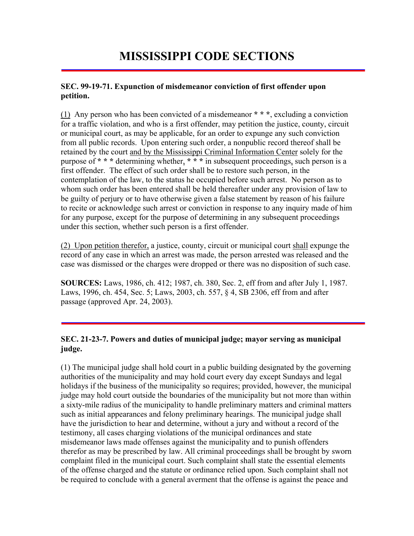# **MISSISSIPPI CODE SECTIONS**

#### **SEC. 99-19-71. Expunction of misdemeanor conviction of first offender upon petition.**

(1) Any person who has been convicted of a misdemeanor **\* \* \***, excluding a conviction for a traffic violation, and who is a first offender, may petition the justice, county, circuit or municipal court, as may be applicable, for an order to expunge any such conviction from all public records. Upon entering such order, a nonpublic record thereof shall be retained by the court and by the Mississippi Criminal Information Center solely for the purpose of **\* \* \*** determining whether, **\* \* \*** in subsequent proceedings, such person is a first offender. The effect of such order shall be to restore such person, in the contemplation of the law, to the status he occupied before such arrest. No person as to whom such order has been entered shall be held thereafter under any provision of law to be guilty of perjury or to have otherwise given a false statement by reason of his failure to recite or acknowledge such arrest or conviction in response to any inquiry made of him for any purpose, except for the purpose of determining in any subsequent proceedings under this section, whether such person is a first offender.

(2) Upon petition therefor, a justice, county, circuit or municipal court shall expunge the record of any case in which an arrest was made, the person arrested was released and the case was dismissed or the charges were dropped or there was no disposition of such case.

**SOURCES:** Laws, 1986, ch. 412; 1987, ch. 380, Sec. 2, eff from and after July 1, 1987. Laws, 1996, ch. 454, Sec. 5; Laws, 2003, ch. 557, § 4, SB 2306, eff from and after passage (approved Apr. 24, 2003).

# **SEC. 21-23-7. Powers and duties of municipal judge; mayor serving as municipal judge.**

(1) The municipal judge shall hold court in a public building designated by the governing authorities of the municipality and may hold court every day except Sundays and legal holidays if the business of the municipality so requires; provided, however, the municipal judge may hold court outside the boundaries of the municipality but not more than within a sixty-mile radius of the municipality to handle preliminary matters and criminal matters such as initial appearances and felony preliminary hearings. The municipal judge shall have the jurisdiction to hear and determine, without a jury and without a record of the testimony, all cases charging violations of the municipal ordinances and state misdemeanor laws made offenses against the municipality and to punish offenders therefor as may be prescribed by law. All criminal proceedings shall be brought by sworn complaint filed in the municipal court. Such complaint shall state the essential elements of the offense charged and the statute or ordinance relied upon. Such complaint shall not be required to conclude with a general averment that the offense is against the peace and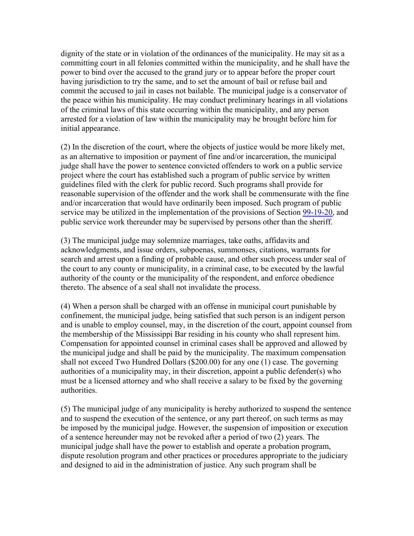dignity of the state or in violation of the ordinances of the municipality. He may sit as a committing court in all felonies committed within the municipality, and he shall have the power to bind over the accused to the grand jury or to appear before the proper court having jurisdiction to try the same, and to set the amount of bail or refuse bail and commit the accused to jail in cases not bailable. The municipal judge is a conservator of the peace within his municipality. He may conduct preliminary hearings in all violations of the criminal laws of this state occurring within the municipality, and any person arrested for a violation of law within the municipality may be brought before him for initial appearance.

(2) In the discretion of the court, where the objects of justice would be more likely met, as an alternative to imposition or payment of fine and/or incarceration, the municipal judge shall have the power to sentence convicted offenders to work on a public service project where the court has established such a program of public service by written guidelines filed with the clerk for public record. Such programs shall provide for reasonable supervision of the offender and the work shall be commensurate with the fine and/or incarceration that would have ordinarily been imposed. Such program of public service may be utilized in the implementation of the provisions of Section 99-19-20, and public service work thereunder may be supervised by persons other than the sheriff.

(3) The municipal judge may solemnize marriages, take oaths, affidavits and acknowledgments, and issue orders, subpoenas, summonses, citations, warrants for search and arrest upon a finding of probable cause, and other such process under seal of the court to any county or municipality, in a criminal case, to be executed by the lawful authority of the county or the municipality of the respondent, and enforce obedience thereto. The absence of a seal shall not invalidate the process.

(4) When a person shall be charged with an offense in municipal court punishable by confinement, the municipal judge, being satisfied that such person is an indigent person and is unable to employ counsel, may, in the discretion of the court, appoint counsel from the membership of the Mississippi Bar residing in his county who shall represent him. Compensation for appointed counsel in criminal cases shall be approved and allowed by the municipal judge and shall be paid by the municipality. The maximum compensation shall not exceed Two Hundred Dollars (\$200.00) for any one (1) case. The governing authorities of a municipality may, in their discretion, appoint a public defender(s) who must be a licensed attorney and who shall receive a salary to be fixed by the governing authorities.

(5) The municipal judge of any municipality is hereby authorized to suspend the sentence and to suspend the execution of the sentence, or any part thereof, on such terms as may be imposed by the municipal judge. However, the suspension of imposition or execution of a sentence hereunder may not be revoked after a period of two (2) years. The municipal judge shall have the power to establish and operate a probation program, dispute resolution program and other practices or procedures appropriate to the judiciary and designed to aid in the administration of justice. Any such program shall be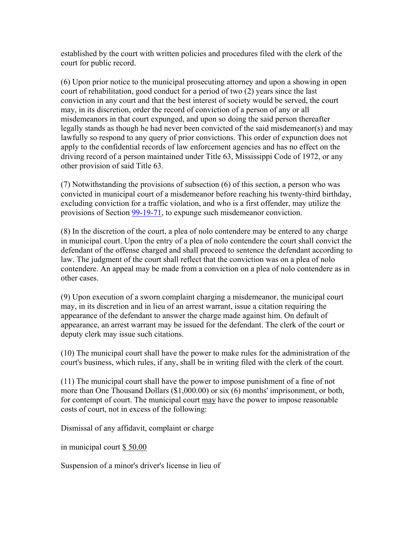established by the court with written policies and procedures filed with the clerk of the court for public record.

(6) Upon prior notice to the municipal prosecuting attorney and upon a showing in open court of rehabilitation, good conduct for a period of two (2) years since the last conviction in any court and that the best interest of society would be served, the court may, in its discretion, order the record of conviction of a person of any or all misdemeanors in that court expunged, and upon so doing the said person thereafter legally stands as though he had never been convicted of the said misdemeanor(s) and may lawfully so respond to any query of prior convictions. This order of expunction does not apply to the confidential records of law enforcement agencies and has no effect on the driving record of a person maintained under Title 63, Mississippi Code of 1972, or any other provision of said Title 63.

(7) Notwithstanding the provisions of subsection (6) of this section, a person who was convicted in municipal court of a misdemeanor before reaching his twenty-third birthday, excluding conviction for a traffic violation, and who is a first offender, may utilize the provisions of Section 99-19-71, to expunge such misdemeanor conviction.

(8) In the discretion of the court, a plea of nolo contendere may be entered to any charge in municipal court. Upon the entry of a plea of nolo contendere the court shall convict the defendant of the offense charged and shall proceed to sentence the defendant according to law. The judgment of the court shall reflect that the conviction was on a plea of nolo contendere. An appeal may be made from a conviction on a plea of nolo contendere as in other cases.

(9) Upon execution of a sworn complaint charging a misdemeanor, the municipal court may, in its discretion and in lieu of an arrest warrant, issue a citation requiring the appearance of the defendant to answer the charge made against him. On default of appearance, an arrest warrant may be issued for the defendant. The clerk of the court or deputy clerk may issue such citations.

(10) The municipal court shall have the power to make rules for the administration of the court's business, which rules, if any, shall be in writing filed with the clerk of the court.

(11) The municipal court shall have the power to impose punishment of a fine of not more than One Thousand Dollars (\$1,000.00) or six (6) months' imprisonment, or both, for contempt of court. The municipal court may have the power to impose reasonable costs of court, not in excess of the following:

Dismissal of any affidavit, complaint or charge

in municipal court \$ 50.00

Suspension of a minor's driver's license in lieu of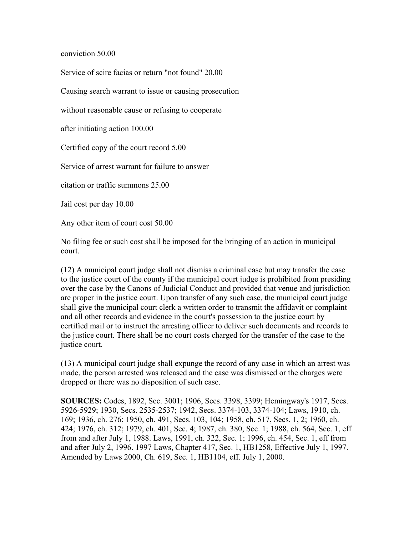conviction 50.00

Service of scire facias or return "not found" 20.00

Causing search warrant to issue or causing prosecution

without reasonable cause or refusing to cooperate

after initiating action 100.00

Certified copy of the court record 5.00

Service of arrest warrant for failure to answer

citation or traffic summons 25.00

Jail cost per day 10.00

Any other item of court cost 50.00

No filing fee or such cost shall be imposed for the bringing of an action in municipal court.

(12) A municipal court judge shall not dismiss a criminal case but may transfer the case to the justice court of the county if the municipal court judge is prohibited from presiding over the case by the Canons of Judicial Conduct and provided that venue and jurisdiction are proper in the justice court. Upon transfer of any such case, the municipal court judge shall give the municipal court clerk a written order to transmit the affidavit or complaint and all other records and evidence in the court's possession to the justice court by certified mail or to instruct the arresting officer to deliver such documents and records to the justice court. There shall be no court costs charged for the transfer of the case to the justice court.

(13) A municipal court judge shall expunge the record of any case in which an arrest was made, the person arrested was released and the case was dismissed or the charges were dropped or there was no disposition of such case.

**SOURCES:** Codes, 1892, Sec. 3001; 1906, Secs. 3398, 3399; Hemingway's 1917, Secs. 5926-5929; 1930, Secs. 2535-2537; 1942, Secs. 3374-103, 3374-104; Laws, 1910, ch. 169; 1936, ch. 276; 1950, ch. 491, Secs. 103, 104; 1958, ch. 517, Secs. 1, 2; 1960, ch. 424; 1976, ch. 312; 1979, ch. 401, Sec. 4; 1987, ch. 380, Sec. 1; 1988, ch. 564, Sec. 1, eff from and after July 1, 1988. Laws, 1991, ch. 322, Sec. 1; 1996, ch. 454, Sec. 1, eff from and after July 2, 1996. 1997 Laws, Chapter 417, Sec. 1, HB1258, Effective July 1, 1997. Amended by Laws 2000, Ch. 619, Sec. 1, HB1104, eff. July 1, 2000.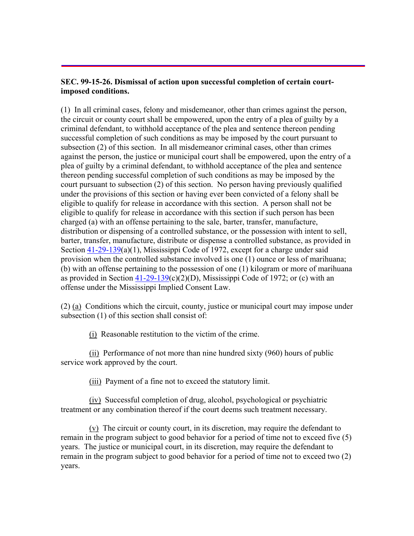### **SEC. 99-15-26. Dismissal of action upon successful completion of certain courtimposed conditions.**

(1) In all criminal cases, felony and misdemeanor, other than crimes against the person, the circuit or county court shall be empowered, upon the entry of a plea of guilty by a criminal defendant, to withhold acceptance of the plea and sentence thereon pending successful completion of such conditions as may be imposed by the court pursuant to subsection (2) of this section. In all misdemeanor criminal cases, other than crimes against the person, the justice or municipal court shall be empowered, upon the entry of a plea of guilty by a criminal defendant, to withhold acceptance of the plea and sentence thereon pending successful completion of such conditions as may be imposed by the court pursuant to subsection (2) of this section. No person having previously qualified under the provisions of this section or having ever been convicted of a felony shall be eligible to qualify for release in accordance with this section. A person shall not be eligible to qualify for release in accordance with this section if such person has been charged (a) with an offense pertaining to the sale, barter, transfer, manufacture, distribution or dispensing of a controlled substance, or the possession with intent to sell, barter, transfer, manufacture, distribute or dispense a controlled substance, as provided in Section  $41-29-139(a)(1)$ , Mississippi Code of 1972, except for a charge under said provision when the controlled substance involved is one (1) ounce or less of marihuana; (b) with an offense pertaining to the possession of one (1) kilogram or more of marihuana as provided in Section  $41-29-139(c)(2)(D)$ , Mississippi Code of 1972; or (c) with an offense under the Mississippi Implied Consent Law.

(2) (a) Conditions which the circuit, county, justice or municipal court may impose under subsection (1) of this section shall consist of:

(i) Reasonable restitution to the victim of the crime.

 (ii) Performance of not more than nine hundred sixty (960) hours of public service work approved by the court.

(iii) Payment of a fine not to exceed the statutory limit.

 (iv) Successful completion of drug, alcohol, psychological or psychiatric treatment or any combination thereof if the court deems such treatment necessary.

 (v) The circuit or county court, in its discretion, may require the defendant to remain in the program subject to good behavior for a period of time not to exceed five (5) years. The justice or municipal court, in its discretion, may require the defendant to remain in the program subject to good behavior for a period of time not to exceed two (2) years.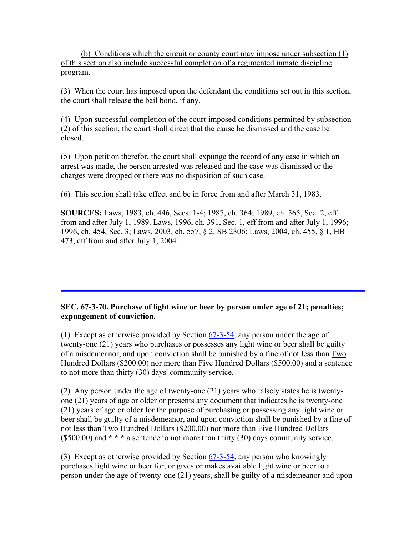(b) Conditions which the circuit or county court may impose under subsection (1) of this section also include successful completion of a regimented inmate discipline program.

(3) When the court has imposed upon the defendant the conditions set out in this section, the court shall release the bail bond, if any.

(4) Upon successful completion of the court-imposed conditions permitted by subsection (2) of this section, the court shall direct that the cause be dismissed and the case be closed.

(5) Upon petition therefor, the court shall expunge the record of any case in which an arrest was made, the person arrested was released and the case was dismissed or the charges were dropped or there was no disposition of such case.

(6) This section shall take effect and be in force from and after March 31, 1983.

**SOURCES:** Laws, 1983, ch. 446, Secs. 1-4; 1987, ch. 364; 1989, ch. 565, Sec. 2, eff from and after July 1, 1989. Laws, 1996, ch. 391, Sec. 1, eff from and after July 1, 1996; 1996, ch. 454, Sec. 3; Laws, 2003, ch. 557, § 2, SB 2306; Laws, 2004, ch. 455, § 1, HB 473, eff from and after July 1, 2004.

# **SEC. 67-3-70. Purchase of light wine or beer by person under age of 21; penalties; expungement of conviction.**

(1) Except as otherwise provided by Section 67-3-54, any person under the age of twenty-one (21) years who purchases or possesses any light wine or beer shall be guilty of a misdemeanor, and upon conviction shall be punished by a fine of not less than Two Hundred Dollars (\$200.00) nor more than Five Hundred Dollars (\$500.00) and a sentence to not more than thirty (30) days' community service.

(2) Any person under the age of twenty-one (21) years who falsely states he is twentyone (21) years of age or older or presents any document that indicates he is twenty-one (21) years of age or older for the purpose of purchasing or possessing any light wine or beer shall be guilty of a misdemeanor, and upon conviction shall be punished by a fine of not less than Two Hundred Dollars (\$200.00) nor more than Five Hundred Dollars (\$500.00) and **\* \* \*** a sentence to not more than thirty (30) days community service.

(3) Except as otherwise provided by Section  $67-3-54$ , any person who knowingly purchases light wine or beer for, or gives or makes available light wine or beer to a person under the age of twenty-one (21) years, shall be guilty of a misdemeanor and upon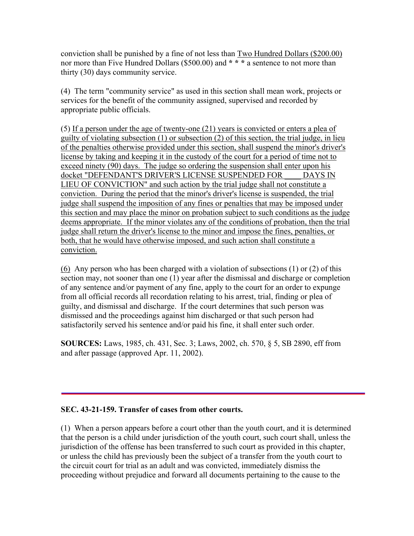conviction shall be punished by a fine of not less than Two Hundred Dollars (\$200.00) nor more than Five Hundred Dollars (\$500.00) and **\* \* \*** a sentence to not more than thirty (30) days community service.

(4) The term "community service" as used in this section shall mean work, projects or services for the benefit of the community assigned, supervised and recorded by appropriate public officials.

(5) If a person under the age of twenty-one (21) years is convicted or enters a plea of guilty of violating subsection (1) or subsection (2) of this section, the trial judge, in lieu of the penalties otherwise provided under this section, shall suspend the minor's driver's license by taking and keeping it in the custody of the court for a period of time not to exceed ninety (90) days. The judge so ordering the suspension shall enter upon his docket "DEFENDANT'S DRIVER'S LICENSE SUSPENDED FOR \_\_\_\_ DAYS IN LIEU OF CONVICTION" and such action by the trial judge shall not constitute a conviction. During the period that the minor's driver's license is suspended, the trial judge shall suspend the imposition of any fines or penalties that may be imposed under this section and may place the minor on probation subject to such conditions as the judge deems appropriate. If the minor violates any of the conditions of probation, then the trial judge shall return the driver's license to the minor and impose the fines, penalties, or both, that he would have otherwise imposed, and such action shall constitute a conviction.

(6) Any person who has been charged with a violation of subsections (1) or (2) of this section may, not sooner than one (1) year after the dismissal and discharge or completion of any sentence and/or payment of any fine, apply to the court for an order to expunge from all official records all recordation relating to his arrest, trial, finding or plea of guilty, and dismissal and discharge. If the court determines that such person was dismissed and the proceedings against him discharged or that such person had satisfactorily served his sentence and/or paid his fine, it shall enter such order.

**SOURCES:** Laws, 1985, ch. 431, Sec. 3; Laws, 2002, ch. 570, § 5, SB 2890, eff from and after passage (approved Apr. 11, 2002).

# **SEC. 43-21-159. Transfer of cases from other courts.**

(1) When a person appears before a court other than the youth court, and it is determined that the person is a child under jurisdiction of the youth court, such court shall, unless the jurisdiction of the offense has been transferred to such court as provided in this chapter, or unless the child has previously been the subject of a transfer from the youth court to the circuit court for trial as an adult and was convicted, immediately dismiss the proceeding without prejudice and forward all documents pertaining to the cause to the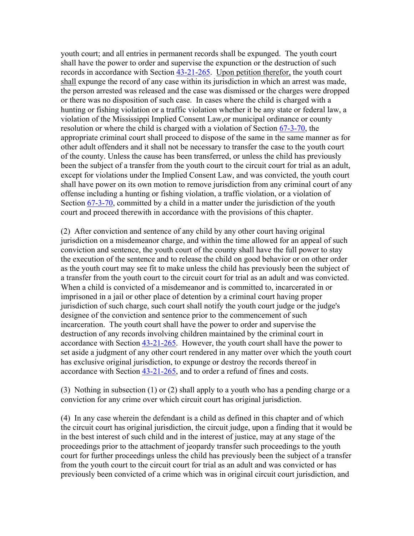youth court; and all entries in permanent records shall be expunged. The youth court shall have the power to order and supervise the expunction or the destruction of such records in accordance with Section 43-21-265. Upon petition therefor, the youth court shall expunge the record of any case within its jurisdiction in which an arrest was made, the person arrested was released and the case was dismissed or the charges were dropped or there was no disposition of such case. In cases where the child is charged with a hunting or fishing violation or a traffic violation whether it be any state or federal law, a violation of the Mississippi Implied Consent Law,or municipal ordinance or county resolution or where the child is charged with a violation of Section 67-3-70, the appropriate criminal court shall proceed to dispose of the same in the same manner as for other adult offenders and it shall not be necessary to transfer the case to the youth court of the county. Unless the cause has been transferred, or unless the child has previously been the subject of a transfer from the youth court to the circuit court for trial as an adult, except for violations under the Implied Consent Law, and was convicted, the youth court shall have power on its own motion to remove jurisdiction from any criminal court of any offense including a hunting or fishing violation, a traffic violation, or a violation of Section 67-3-70, committed by a child in a matter under the jurisdiction of the youth court and proceed therewith in accordance with the provisions of this chapter.

(2) After conviction and sentence of any child by any other court having original jurisdiction on a misdemeanor charge, and within the time allowed for an appeal of such conviction and sentence, the youth court of the county shall have the full power to stay the execution of the sentence and to release the child on good behavior or on other order as the youth court may see fit to make unless the child has previously been the subject of a transfer from the youth court to the circuit court for trial as an adult and was convicted. When a child is convicted of a misdemeanor and is committed to, incarcerated in or imprisoned in a jail or other place of detention by a criminal court having proper jurisdiction of such charge, such court shall notify the youth court judge or the judge's designee of the conviction and sentence prior to the commencement of such incarceration. The youth court shall have the power to order and supervise the destruction of any records involving children maintained by the criminal court in accordance with Section 43-21-265. However, the youth court shall have the power to set aside a judgment of any other court rendered in any matter over which the youth court has exclusive original jurisdiction, to expunge or destroy the records thereof in accordance with Section 43-21-265, and to order a refund of fines and costs.

(3) Nothing in subsection (1) or (2) shall apply to a youth who has a pending charge or a conviction for any crime over which circuit court has original jurisdiction.

(4) In any case wherein the defendant is a child as defined in this chapter and of which the circuit court has original jurisdiction, the circuit judge, upon a finding that it would be in the best interest of such child and in the interest of justice, may at any stage of the proceedings prior to the attachment of jeopardy transfer such proceedings to the youth court for further proceedings unless the child has previously been the subject of a transfer from the youth court to the circuit court for trial as an adult and was convicted or has previously been convicted of a crime which was in original circuit court jurisdiction, and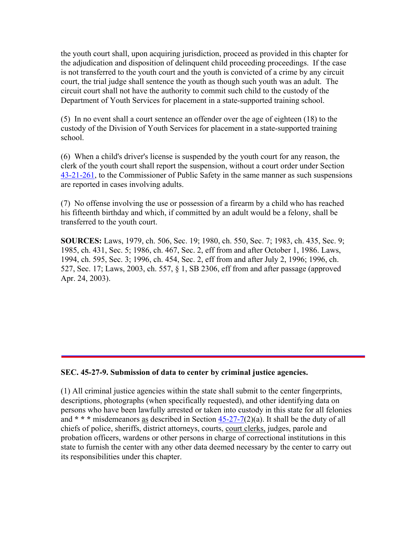the youth court shall, upon acquiring jurisdiction, proceed as provided in this chapter for the adjudication and disposition of delinquent child proceeding proceedings. If the case is not transferred to the youth court and the youth is convicted of a crime by any circuit court, the trial judge shall sentence the youth as though such youth was an adult. The circuit court shall not have the authority to commit such child to the custody of the Department of Youth Services for placement in a state-supported training school.

(5) In no event shall a court sentence an offender over the age of eighteen (18) to the custody of the Division of Youth Services for placement in a state-supported training school.

(6) When a child's driver's license is suspended by the youth court for any reason, the clerk of the youth court shall report the suspension, without a court order under Section 43-21-261, to the Commissioner of Public Safety in the same manner as such suspensions are reported in cases involving adults.

(7) No offense involving the use or possession of a firearm by a child who has reached his fifteenth birthday and which, if committed by an adult would be a felony, shall be transferred to the youth court.

**SOURCES:** Laws, 1979, ch. 506, Sec. 19; 1980, ch. 550, Sec. 7; 1983, ch. 435, Sec. 9; 1985, ch. 431, Sec. 5; 1986, ch. 467, Sec. 2, eff from and after October 1, 1986. Laws, 1994, ch. 595, Sec. 3; 1996, ch. 454, Sec. 2, eff from and after July 2, 1996; 1996, ch. 527, Sec. 17; Laws, 2003, ch. 557, § 1, SB 2306, eff from and after passage (approved Apr. 24, 2003).

#### **SEC. 45-27-9. Submission of data to center by criminal justice agencies.**

(1) All criminal justice agencies within the state shall submit to the center fingerprints, descriptions, photographs (when specifically requested), and other identifying data on persons who have been lawfully arrested or taken into custody in this state for all felonies and **\* \* \*** misdemeanors as described in Section 45-27-7(2)(a). It shall be the duty of all chiefs of police, sheriffs, district attorneys, courts, court clerks, judges, parole and probation officers, wardens or other persons in charge of correctional institutions in this state to furnish the center with any other data deemed necessary by the center to carry out its responsibilities under this chapter.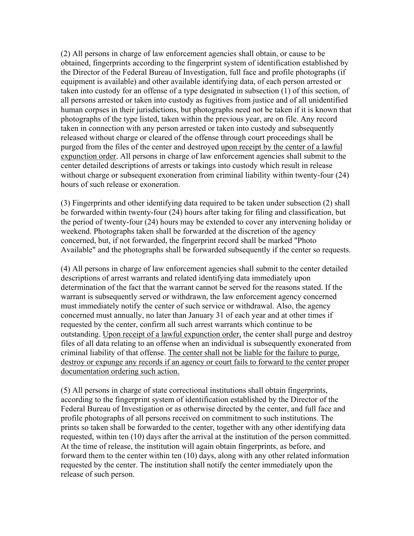(2) All persons in charge of law enforcement agencies shall obtain, or cause to be obtained, fingerprints according to the fingerprint system of identification established by the Director of the Federal Bureau of Investigation, full face and profile photographs (if equipment is available) and other available identifying data, of each person arrested or taken into custody for an offense of a type designated in subsection (1) of this section, of all persons arrested or taken into custody as fugitives from justice and of all unidentified human corpses in their jurisdictions, but photographs need not be taken if it is known that photographs of the type listed, taken within the previous year, are on file. Any record taken in connection with any person arrested or taken into custody and subsequently released without charge or cleared of the offense through court proceedings shall be purged from the files of the center and destroyed upon receipt by the center of a lawful expunction order. All persons in charge of law enforcement agencies shall submit to the center detailed descriptions of arrests or takings into custody which result in release without charge or subsequent exoneration from criminal liability within twenty-four (24) hours of such release or exoneration.

(3) Fingerprints and other identifying data required to be taken under subsection (2) shall be forwarded within twenty-four (24) hours after taking for filing and classification, but the period of twenty-four (24) hours may be extended to cover any intervening holiday or weekend. Photographs taken shall be forwarded at the discretion of the agency concerned, but, if not forwarded, the fingerprint record shall be marked "Photo Available" and the photographs shall be forwarded subsequently if the center so requests.

(4) All persons in charge of law enforcement agencies shall submit to the center detailed descriptions of arrest warrants and related identifying data immediately upon determination of the fact that the warrant cannot be served for the reasons stated. If the warrant is subsequently served or withdrawn, the law enforcement agency concerned must immediately notify the center of such service or withdrawal. Also, the agency concerned must annually, no later than January 31 of each year and at other times if requested by the center, confirm all such arrest warrants which continue to be outstanding. Upon receipt of a lawful expunction order, the center shall purge and destroy files of all data relating to an offense when an individual is subsequently exonerated from criminal liability of that offense. The center shall not be liable for the failure to purge, destroy or expunge any records if an agency or court fails to forward to the center proper documentation ordering such action.

(5) All persons in charge of state correctional institutions shall obtain fingerprints, according to the fingerprint system of identification established by the Director of the Federal Bureau of Investigation or as otherwise directed by the center, and full face and profile photographs of all persons received on commitment to such institutions. The prints so taken shall be forwarded to the center, together with any other identifying data requested, within ten (10) days after the arrival at the institution of the person committed. At the time of release, the institution will again obtain fingerprints, as before, and forward them to the center within ten (10) days, along with any other related information requested by the center. The institution shall notify the center immediately upon the release of such person.